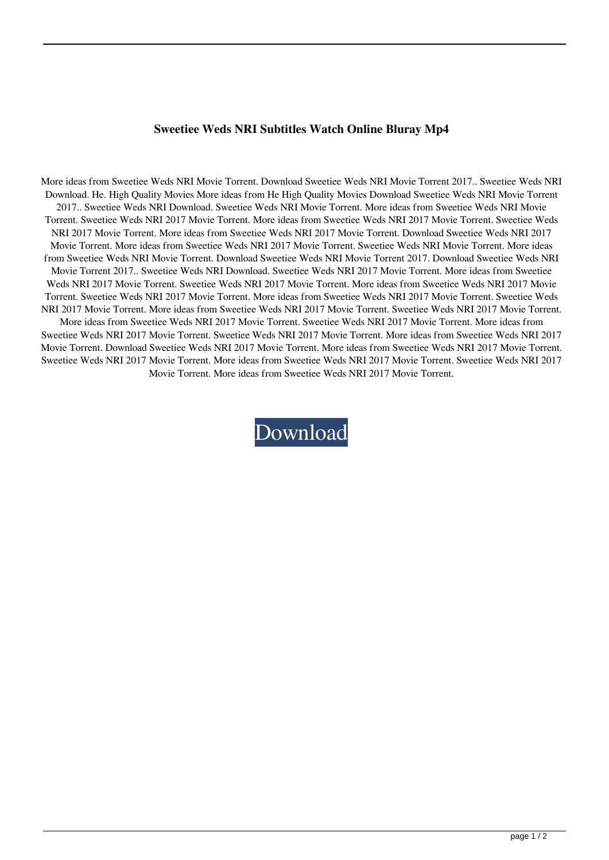## **Sweetiee Weds NRI Subtitles Watch Online Bluray Mp4**

More ideas from Sweetiee Weds NRI Movie Torrent. Download Sweetiee Weds NRI Movie Torrent 2017.. Sweetiee Weds NRI Download. He. High Quality Movies More ideas from He High Quality Movies Download Sweetiee Weds NRI Movie Torrent 2017.. Sweetiee Weds NRI Download. Sweetiee Weds NRI Movie Torrent. More ideas from Sweetiee Weds NRI Movie Torrent. Sweetiee Weds NRI 2017 Movie Torrent. More ideas from Sweetiee Weds NRI 2017 Movie Torrent. Sweetiee Weds NRI 2017 Movie Torrent. More ideas from Sweetiee Weds NRI 2017 Movie Torrent. Download Sweetiee Weds NRI 2017 Movie Torrent. More ideas from Sweetiee Weds NRI 2017 Movie Torrent. Sweetiee Weds NRI Movie Torrent. More ideas from Sweetiee Weds NRI Movie Torrent. Download Sweetiee Weds NRI Movie Torrent 2017. Download Sweetiee Weds NRI Movie Torrent 2017.. Sweetiee Weds NRI Download. Sweetiee Weds NRI 2017 Movie Torrent. More ideas from Sweetiee Weds NRI 2017 Movie Torrent. Sweetiee Weds NRI 2017 Movie Torrent. More ideas from Sweetiee Weds NRI 2017 Movie Torrent. Sweetiee Weds NRI 2017 Movie Torrent. More ideas from Sweetiee Weds NRI 2017 Movie Torrent. Sweetiee Weds NRI 2017 Movie Torrent. More ideas from Sweetiee Weds NRI 2017 Movie Torrent. Sweetiee Weds NRI 2017 Movie Torrent. More ideas from Sweetiee Weds NRI 2017 Movie Torrent. Sweetiee Weds NRI 2017 Movie Torrent. More ideas from Sweetiee Weds NRI 2017 Movie Torrent. Sweetiee Weds NRI 2017 Movie Torrent. More ideas from Sweetiee Weds NRI 2017 Movie Torrent. Download Sweetiee Weds NRI 2017 Movie Torrent. More ideas from Sweetiee Weds NRI 2017 Movie Torrent. Sweetiee Weds NRI 2017 Movie Torrent. More ideas from Sweetiee Weds NRI 2017 Movie Torrent. Sweetiee Weds NRI 2017 Movie Torrent. More ideas from Sweetiee Weds NRI 2017 Movie Torrent.

[Download](http://evacdir.com/cookouts/U3dlZXRpZWUgV2VkcyBOUkkgTW92aWUgVG9ycmVudAU3d/turtledoves/demythologized&fathoming/rive&gapbetween.ZG93bmxvYWR8ODR4TVRseE5IeDhNVFkxTWpjME1EZzJObng4TWpVM05IeDhLRTBwSUhKbFlXUXRZbXh2WnlCYlJtRnpkQ0JIUlU1ZA)